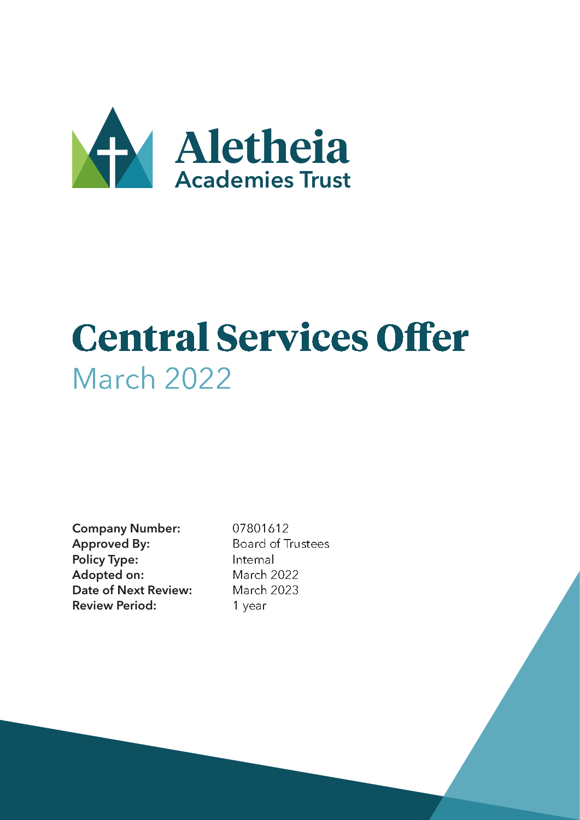

# **Central Services Offer** March 2022

Company Number: 07801612 Approved By: Board of Trustees Policy Type: Internal Adopted on: March 2022 Date of Next Review: March 2023 Review Period: 1 year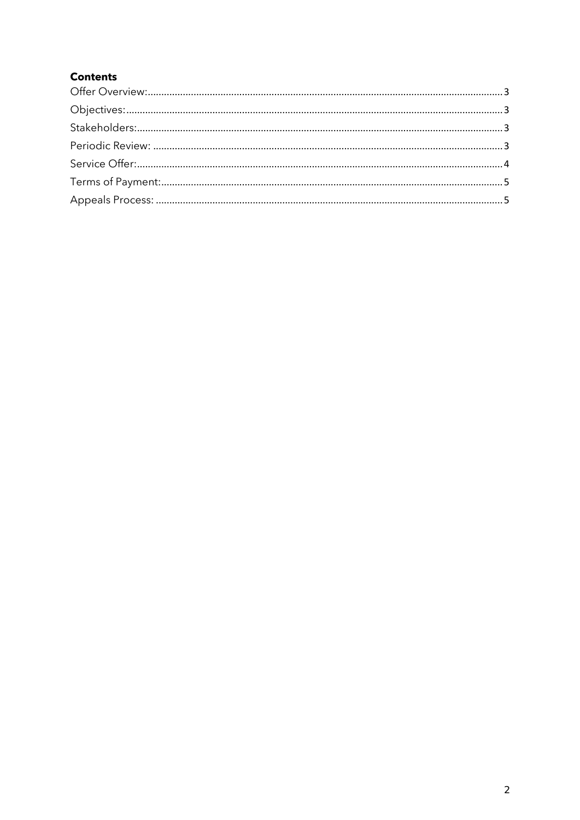# **Contents**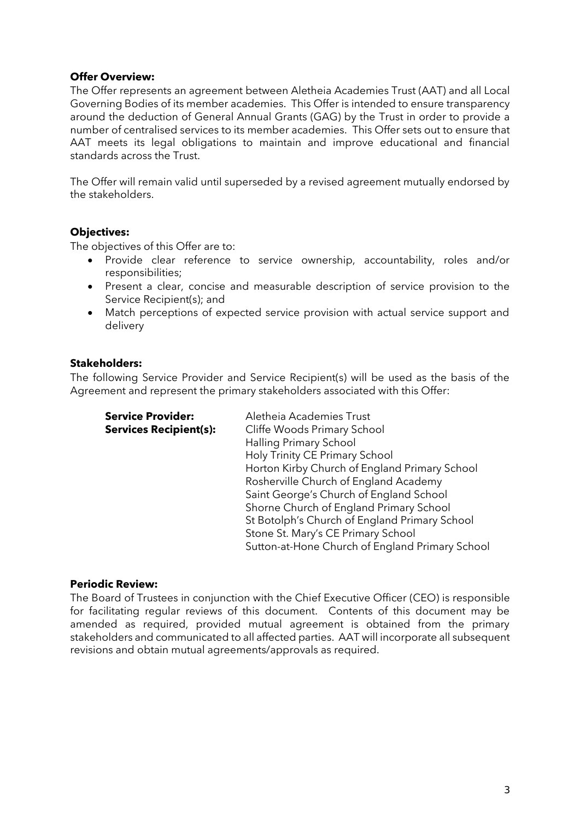#### <span id="page-2-0"></span>**Offer Overview:**

The Offer represents an agreement between Aletheia Academies Trust (AAT) and all Local Governing Bodies of its member academies. This Offer is intended to ensure transparency around the deduction of General Annual Grants (GAG) by the Trust in order to provide a number of centralised services to its member academies. This Offer sets out to ensure that AAT meets its legal obligations to maintain and improve educational and financial standards across the Trust.

The Offer will remain valid until superseded by a revised agreement mutually endorsed by the stakeholders.

#### <span id="page-2-1"></span>**Objectives:**

The objectives of this Offer are to:

- Provide clear reference to service ownership, accountability, roles and/or responsibilities;
- Present a clear, concise and measurable description of service provision to the Service Recipient(s); and
- Match perceptions of expected service provision with actual service support and delivery

#### <span id="page-2-2"></span>**Stakeholders:**

The following Service Provider and Service Recipient(s) will be used as the basis of the Agreement and represent the primary stakeholders associated with this Offer:

| <b>Service Provider:</b>      | Aletheia Academies Trust                        |
|-------------------------------|-------------------------------------------------|
| <b>Services Recipient(s):</b> | Cliffe Woods Primary School                     |
|                               | <b>Halling Primary School</b>                   |
|                               | Holy Trinity CE Primary School                  |
|                               | Horton Kirby Church of England Primary School   |
|                               | Rosherville Church of England Academy           |
|                               | Saint George's Church of England School         |
|                               | Shorne Church of England Primary School         |
|                               | St Botolph's Church of England Primary School   |
|                               | Stone St. Mary's CE Primary School              |
|                               | Sutton-at-Hone Church of England Primary School |

#### <span id="page-2-3"></span>**Periodic Review:**

The Board of Trustees in conjunction with the Chief Executive Officer (CEO) is responsible for facilitating regular reviews of this document. Contents of this document may be amended as required, provided mutual agreement is obtained from the primary stakeholders and communicated to all affected parties. AAT will incorporate all subsequent revisions and obtain mutual agreements/approvals as required.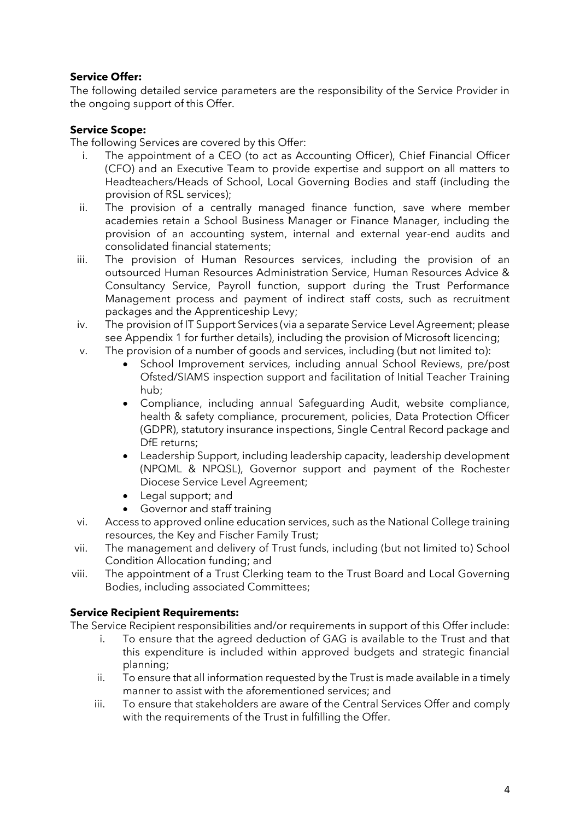# <span id="page-3-0"></span>**Service Offer:**

The following detailed service parameters are the responsibility of the Service Provider in the ongoing support of this Offer.

# **Service Scope:**

The following Services are covered by this Offer:

- i. The appointment of a CEO (to act as Accounting Officer), Chief Financial Officer (CFO) and an Executive Team to provide expertise and support on all matters to Headteachers/Heads of School, Local Governing Bodies and staff (including the provision of RSL services);
- ii. The provision of a centrally managed finance function, save where member academies retain a School Business Manager or Finance Manager, including the provision of an accounting system, internal and external year-end audits and consolidated financial statements;
- iii. The provision of Human Resources services, including the provision of an outsourced Human Resources Administration Service, Human Resources Advice & Consultancy Service, Payroll function, support during the Trust Performance Management process and payment of indirect staff costs, such as recruitment packages and the Apprenticeship Levy;
- iv. The provision of IT Support Services (via a separate Service Level Agreement; please see Appendix 1 for further details), including the provision of Microsoft licencing;
- v. The provision of a number of goods and services, including (but not limited to):
	- School Improvement services, including annual School Reviews, pre/post Ofsted/SIAMS inspection support and facilitation of Initial Teacher Training hub;
	- Compliance, including annual Safeguarding Audit, website compliance, health & safety compliance, procurement, policies, Data Protection Officer (GDPR), statutory insurance inspections, Single Central Record package and DfE returns;
	- Leadership Support, including leadership capacity, leadership development (NPQML & NPQSL), Governor support and payment of the Rochester Diocese Service Level Agreement;
	- Legal support; and
	- Governor and staff training
- vi. Access to approved online education services, such as the National College training resources, the Key and Fischer Family Trust;
- vii. The management and delivery of Trust funds, including (but not limited to) School Condition Allocation funding; and
- viii. The appointment of a Trust Clerking team to the Trust Board and Local Governing Bodies, including associated Committees;

# **Service Recipient Requirements:**

The Service Recipient responsibilities and/or requirements in support of this Offer include:

- i. To ensure that the agreed deduction of GAG is available to the Trust and that this expenditure is included within approved budgets and strategic financial planning;
- ii. To ensure that all information requested by the Trust is made available in a timely manner to assist with the aforementioned services; and
- iii. To ensure that stakeholders are aware of the Central Services Offer and comply with the requirements of the Trust in fulfilling the Offer.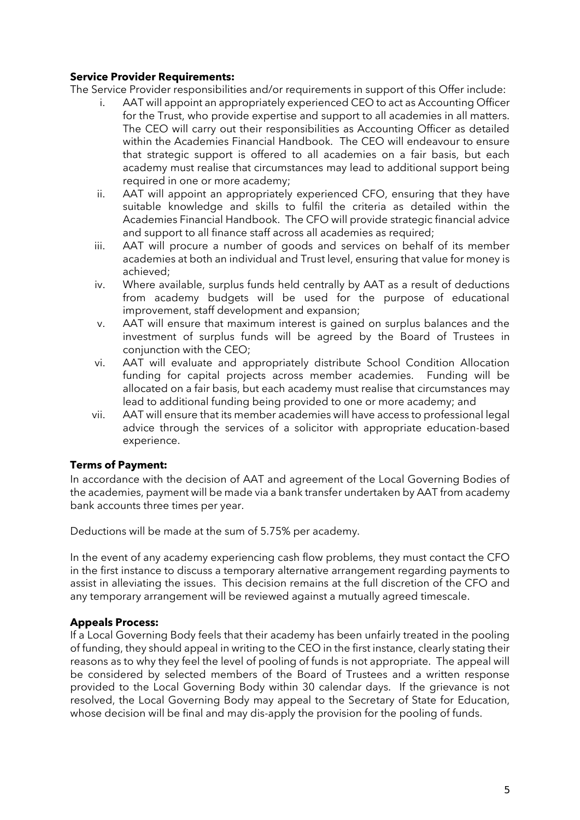# **Service Provider Requirements:**

The Service Provider responsibilities and/or requirements in support of this Offer include:

- AAT will appoint an appropriately experienced CEO to act as Accounting Officer for the Trust, who provide expertise and support to all academies in all matters. The CEO will carry out their responsibilities as Accounting Officer as detailed within the Academies Financial Handbook. The CEO will endeavour to ensure that strategic support is offered to all academies on a fair basis, but each academy must realise that circumstances may lead to additional support being required in one or more academy;
- ii. AAT will appoint an appropriately experienced CFO, ensuring that they have suitable knowledge and skills to fulfil the criteria as detailed within the Academies Financial Handbook. The CFO will provide strategic financial advice and support to all finance staff across all academies as required;
- iii. AAT will procure a number of goods and services on behalf of its member academies at both an individual and Trust level, ensuring that value for money is achieved;
- iv. Where available, surplus funds held centrally by AAT as a result of deductions from academy budgets will be used for the purpose of educational improvement, staff development and expansion;
- v. AAT will ensure that maximum interest is gained on surplus balances and the investment of surplus funds will be agreed by the Board of Trustees in conjunction with the CEO;
- vi. AAT will evaluate and appropriately distribute School Condition Allocation funding for capital projects across member academies. Funding will be allocated on a fair basis, but each academy must realise that circumstances may lead to additional funding being provided to one or more academy; and
- vii. AAT will ensure that its member academies will have access to professional legal advice through the services of a solicitor with appropriate education-based experience.

### <span id="page-4-0"></span>**Terms of Payment:**

In accordance with the decision of AAT and agreement of the Local Governing Bodies of the academies, payment will be made via a bank transfer undertaken by AAT from academy bank accounts three times per year.

Deductions will be made at the sum of 5.75% per academy.

In the event of any academy experiencing cash flow problems, they must contact the CFO in the first instance to discuss a temporary alternative arrangement regarding payments to assist in alleviating the issues. This decision remains at the full discretion of the CFO and any temporary arrangement will be reviewed against a mutually agreed timescale.

### <span id="page-4-1"></span>**Appeals Process:**

If a Local Governing Body feels that their academy has been unfairly treated in the pooling of funding, they should appeal in writing to the CEO in the first instance, clearly stating their reasons as to why they feel the level of pooling of funds is not appropriate. The appeal will be considered by selected members of the Board of Trustees and a written response provided to the Local Governing Body within 30 calendar days. If the grievance is not resolved, the Local Governing Body may appeal to the Secretary of State for Education, whose decision will be final and may dis-apply the provision for the pooling of funds.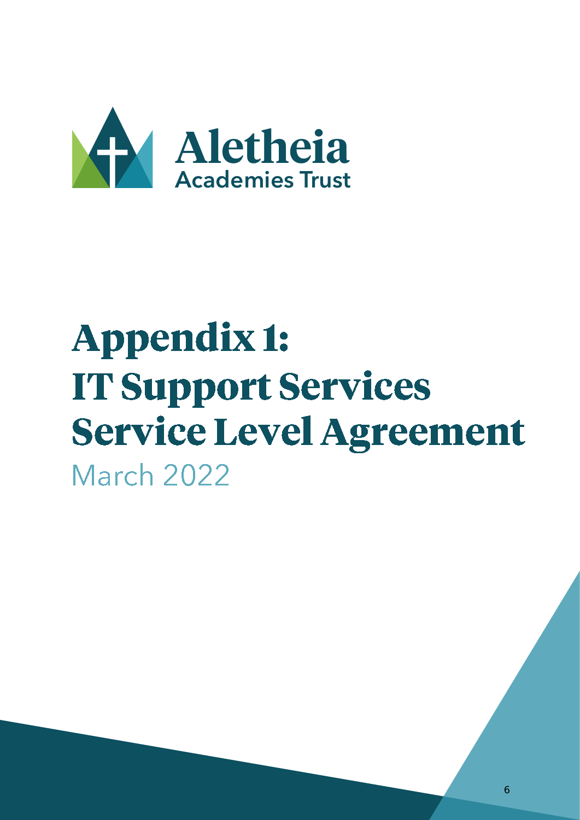

# **Appendix 1: IT Support Services Service Level Agreement** March 2022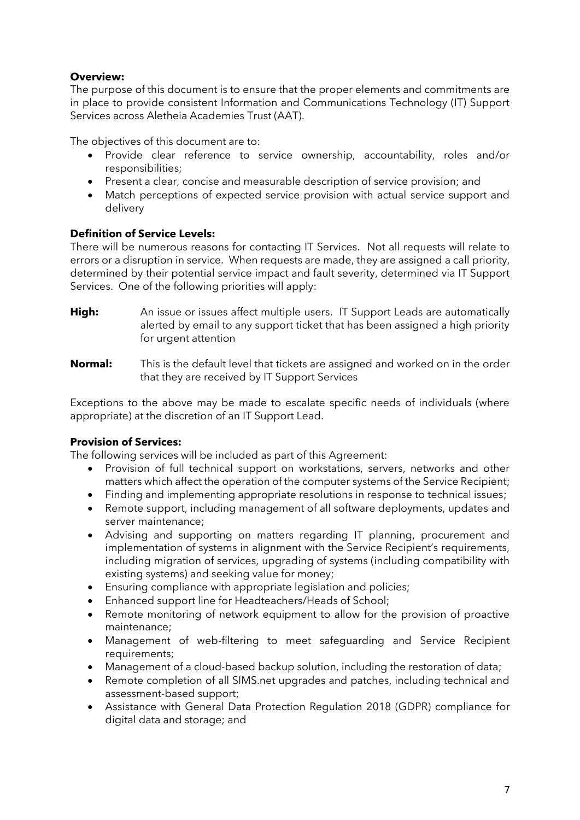# **Overview:**

The purpose of this document is to ensure that the proper elements and commitments are in place to provide consistent Information and Communications Technology (IT) Support Services across Aletheia Academies Trust (AAT).

The objectives of this document are to:

- Provide clear reference to service ownership, accountability, roles and/or responsibilities;
- Present a clear, concise and measurable description of service provision; and
- Match perceptions of expected service provision with actual service support and delivery

### **Definition of Service Levels:**

There will be numerous reasons for contacting IT Services. Not all requests will relate to errors or a disruption in service. When requests are made, they are assigned a call priority, determined by their potential service impact and fault severity, determined via IT Support Services. One of the following priorities will apply:

- **High:** An issue or issues affect multiple users. IT Support Leads are automatically alerted by email to any support ticket that has been assigned a high priority for urgent attention
- **Normal:** This is the default level that tickets are assigned and worked on in the order that they are received by IT Support Services

Exceptions to the above may be made to escalate specific needs of individuals (where appropriate) at the discretion of an IT Support Lead.

### **Provision of Services:**

The following services will be included as part of this Agreement:

- Provision of full technical support on workstations, servers, networks and other matters which affect the operation of the computer systems of the Service Recipient;
- Finding and implementing appropriate resolutions in response to technical issues;
- Remote support, including management of all software deployments, updates and server maintenance;
- Advising and supporting on matters regarding IT planning, procurement and implementation of systems in alignment with the Service Recipient's requirements, including migration of services, upgrading of systems (including compatibility with existing systems) and seeking value for money;
- Ensuring compliance with appropriate legislation and policies;
- Enhanced support line for Headteachers/Heads of School;
- Remote monitoring of network equipment to allow for the provision of proactive maintenance;
- Management of web-filtering to meet safeguarding and Service Recipient requirements;
- Management of a cloud-based backup solution, including the restoration of data;
- Remote completion of all SIMS.net upgrades and patches, including technical and assessment-based support;
- Assistance with General Data Protection Regulation 2018 (GDPR) compliance for digital data and storage; and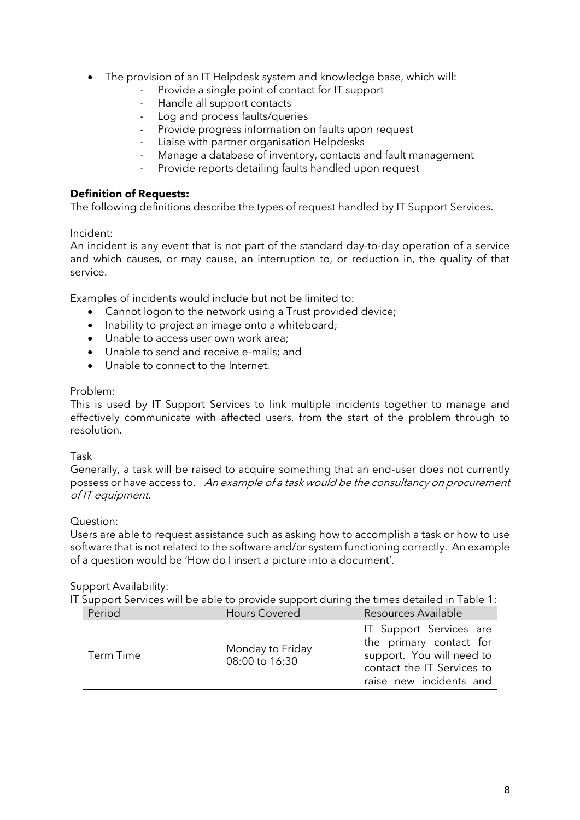- The provision of an IT Helpdesk system and knowledge base, which will:
	- Provide a single point of contact for IT support<br>- Handle all support contacts
	- Handle all support contacts
	- Log and process faults/queries
	- Provide progress information on faults upon request
	- Liaise with partner organisation Helpdesks
	- Manage a database of inventory, contacts and fault management
	- Provide reports detailing faults handled upon request

#### **Definition of Requests:**

The following definitions describe the types of request handled by IT Support Services.

#### Incident:

An incident is any event that is not part of the standard day-to-day operation of a service and which causes, or may cause, an interruption to, or reduction in, the quality of that service.

Examples of incidents would include but not be limited to:

- Cannot logon to the network using a Trust provided device;
- Inability to project an image onto a whiteboard;
- Unable to access user own work area;
- Unable to send and receive e-mails; and
- Unable to connect to the Internet.

#### Problem:

This is used by IT Support Services to link multiple incidents together to manage and effectively communicate with affected users, from the start of the problem through to resolution.

### Task

Generally, a task will be raised to acquire something that an end-user does not currently possess or have access to. An example of a task would be the consultancy on procurement of IT equipment.

#### Question:

Users are able to request assistance such as asking how to accomplish a task or how to use software that is not related to the software and/or system functioning correctly. An example of a question would be 'How do I insert a picture into a document'.

#### Support Availability:

IT Support Services will be able to provide support during the times detailed in Table 1:

| Period    | <b>Hours Covered</b>               | Resources Available                                                                                                                      |
|-----------|------------------------------------|------------------------------------------------------------------------------------------------------------------------------------------|
| Term Time | Monday to Friday<br>08:00 to 16:30 | IT Support Services are<br>the primary contact for<br>support. You will need to<br>contact the IT Services to<br>raise new incidents and |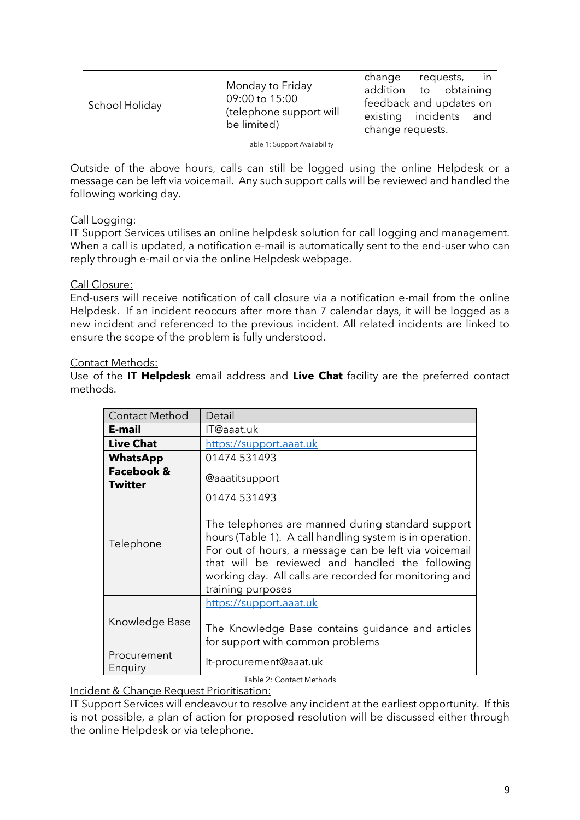| addition to obtaining<br>09:00 to 15:00<br>feedback and updates on<br>School Holiday<br>(telephone support will<br>existing incidents and<br>be limited)<br>change requests. | Monday to Friday | change | requests, | in |
|------------------------------------------------------------------------------------------------------------------------------------------------------------------------------|------------------|--------|-----------|----|
|------------------------------------------------------------------------------------------------------------------------------------------------------------------------------|------------------|--------|-----------|----|

Table 1: Support Availability

Outside of the above hours, calls can still be logged using the online Helpdesk or a message can be left via voicemail. Any such support calls will be reviewed and handled the following working day.

# Call Logging:

IT Support Services utilises an online helpdesk solution for call logging and management. When a call is updated, a notification e-mail is automatically sent to the end-user who can reply through e-mail or via the online Helpdesk webpage.

### Call Closure:

End-users will receive notification of call closure via a notification e-mail from the online Helpdesk. If an incident reoccurs after more than 7 calendar days, it will be logged as a new incident and referenced to the previous incident. All related incidents are linked to ensure the scope of the problem is fully understood.

### Contact Methods:

Use of the **IT Helpdesk** email address and **Live Chat** facility are the preferred contact methods.

| <b>Contact Method</b>                   | Detail                                                                                                                                                                                                                                                                                                                   |
|-----------------------------------------|--------------------------------------------------------------------------------------------------------------------------------------------------------------------------------------------------------------------------------------------------------------------------------------------------------------------------|
| E-mail                                  | IT@aaat.uk                                                                                                                                                                                                                                                                                                               |
| <b>Live Chat</b>                        | https://support.aaat.uk                                                                                                                                                                                                                                                                                                  |
| <b>WhatsApp</b>                         | 01474 531493                                                                                                                                                                                                                                                                                                             |
| <b>Facebook &amp;</b><br><b>Twitter</b> | @aaatitsupport                                                                                                                                                                                                                                                                                                           |
| Telephone                               | 01474 531493<br>The telephones are manned during standard support<br>hours (Table 1). A call handling system is in operation.<br>For out of hours, a message can be left via voicemail<br>that will be reviewed and handled the following<br>working day. All calls are recorded for monitoring and<br>training purposes |
| Knowledge Base                          | https://support.aaat.uk<br>The Knowledge Base contains guidance and articles<br>for support with common problems                                                                                                                                                                                                         |
| Procurement<br>Enquiry                  | It-procurement@aaat.uk                                                                                                                                                                                                                                                                                                   |

Table 2: Contact Methods

Incident & Change Request Prioritisation:

IT Support Services will endeavour to resolve any incident at the earliest opportunity. If this is not possible, a plan of action for proposed resolution will be discussed either through the online Helpdesk or via telephone.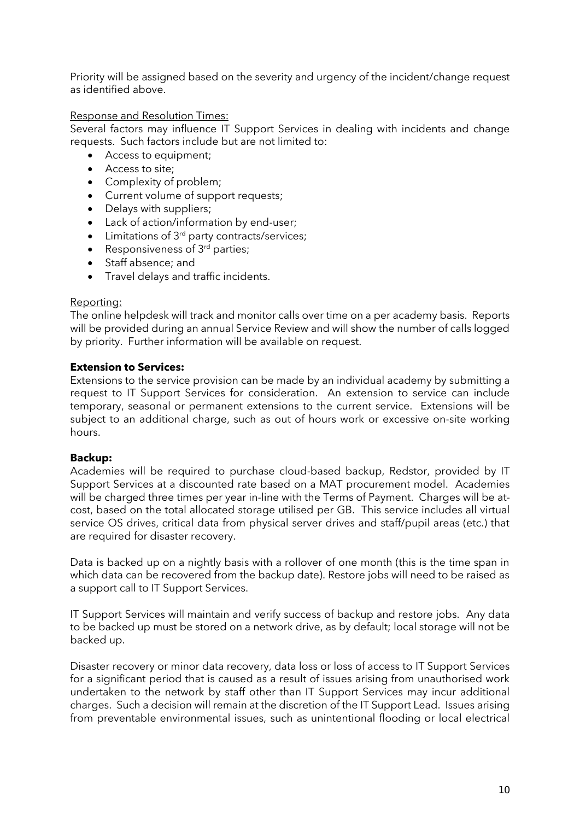Priority will be assigned based on the severity and urgency of the incident/change request as identified above.

#### Response and Resolution Times:

Several factors may influence IT Support Services in dealing with incidents and change requests. Such factors include but are not limited to:

- Access to equipment;
- Access to site;
- Complexity of problem;
- Current volume of support requests;
- Delays with suppliers;
- Lack of action/information by end-user;
- $\bullet$  Limitations of  $3<sup>rd</sup>$  party contracts/services;
- Responsiveness of  $3<sup>rd</sup>$  parties;
- Staff absence; and
- Travel delays and traffic incidents.

#### Reporting:

The online helpdesk will track and monitor calls over time on a per academy basis. Reports will be provided during an annual Service Review and will show the number of calls logged by priority. Further information will be available on request.

#### **Extension to Services:**

Extensions to the service provision can be made by an individual academy by submitting a request to IT Support Services for consideration. An extension to service can include temporary, seasonal or permanent extensions to the current service. Extensions will be subject to an additional charge, such as out of hours work or excessive on-site working hours.

#### **Backup:**

Academies will be required to purchase cloud-based backup, Redstor, provided by IT Support Services at a discounted rate based on a MAT procurement model. Academies will be charged three times per year in-line with the Terms of Payment. Charges will be atcost, based on the total allocated storage utilised per GB. This service includes all virtual service OS drives, critical data from physical server drives and staff/pupil areas (etc.) that are required for disaster recovery.

Data is backed up on a nightly basis with a rollover of one month (this is the time span in which data can be recovered from the backup date). Restore jobs will need to be raised as a support call to IT Support Services.

IT Support Services will maintain and verify success of backup and restore jobs. Any data to be backed up must be stored on a network drive, as by default; local storage will not be backed up.

Disaster recovery or minor data recovery, data loss or loss of access to IT Support Services for a significant period that is caused as a result of issues arising from unauthorised work undertaken to the network by staff other than IT Support Services may incur additional charges. Such a decision will remain at the discretion of the IT Support Lead. Issues arising from preventable environmental issues, such as unintentional flooding or local electrical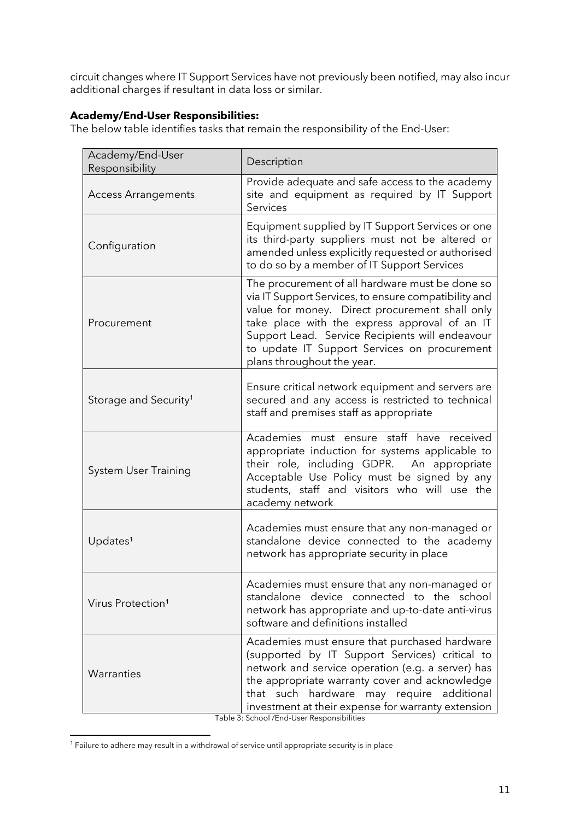circuit changes where IT Support Services have not previously been notified, may also incur additional charges if resultant in data loss or similar.

# **Academy/End-User Responsibilities:**

The below table identifies tasks that remain the responsibility of the End-User:

| Academy/End-User<br>Responsibility | Description                                                                                                                                                                                                                                                                                                                                 |
|------------------------------------|---------------------------------------------------------------------------------------------------------------------------------------------------------------------------------------------------------------------------------------------------------------------------------------------------------------------------------------------|
| <b>Access Arrangements</b>         | Provide adequate and safe access to the academy<br>site and equipment as required by IT Support<br>Services                                                                                                                                                                                                                                 |
| Configuration                      | Equipment supplied by IT Support Services or one<br>its third-party suppliers must not be altered or<br>amended unless explicitly requested or authorised<br>to do so by a member of IT Support Services                                                                                                                                    |
| Procurement                        | The procurement of all hardware must be done so<br>via IT Support Services, to ensure compatibility and<br>value for money. Direct procurement shall only<br>take place with the express approval of an IT<br>Support Lead. Service Recipients will endeavour<br>to update IT Support Services on procurement<br>plans throughout the year. |
| Storage and Security <sup>1</sup>  | Ensure critical network equipment and servers are<br>secured and any access is restricted to technical<br>staff and premises staff as appropriate                                                                                                                                                                                           |
| <b>System User Training</b>        | Academies must ensure staff have received<br>appropriate induction for systems applicable to<br>their role, including GDPR. An appropriate<br>Acceptable Use Policy must be signed by any<br>students, staff and visitors who will use the<br>academy network                                                                               |
| Updates <sup>1</sup>               | Academies must ensure that any non-managed or<br>standalone device connected to the academy<br>network has appropriate security in place                                                                                                                                                                                                    |
| Virus Protection <sup>1</sup>      | Academies must ensure that any non-managed or<br>standalone device connected to the school<br>network has appropriate and up-to-date anti-virus<br>software and definitions installed                                                                                                                                                       |
| Warranties                         | Academies must ensure that purchased hardware<br>(supported by IT Support Services) critical to<br>network and service operation (e.g. a server) has<br>the appropriate warranty cover and acknowledge<br>that such hardware may require additional<br>investment at their expense for warranty extension                                   |

Table 3: School /End-User Responsibilities

<sup>&</sup>lt;sup>1</sup> Failure to adhere may result in a withdrawal of service until appropriate security is in place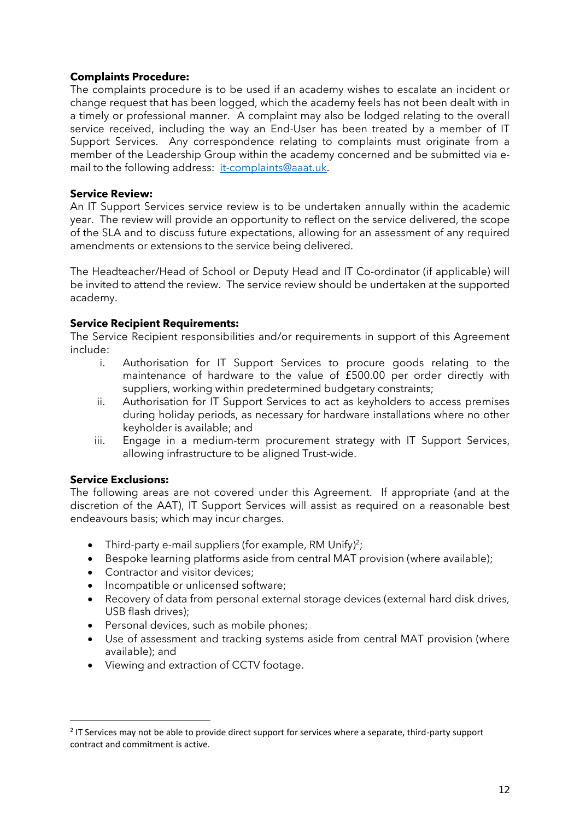# **Complaints Procedure:**

The complaints procedure is to be used if an academy wishes to escalate an incident or change request that has been logged, which the academy feels has not been dealt with in a timely or professional manner. A complaint may also be lodged relating to the overall service received, including the way an End-User has been treated by a member of IT Support Services. Any correspondence relating to complaints must originate from a member of the Leadership Group within the academy concerned and be submitted via email to the following address: [it-complaints@aaat.uk.](mailto:it-complaints@aaat.uk)

# **Service Review:**

An IT Support Services service review is to be undertaken annually within the academic year. The review will provide an opportunity to reflect on the service delivered, the scope of the SLA and to discuss future expectations, allowing for an assessment of any required amendments or extensions to the service being delivered.

The Headteacher/Head of School or Deputy Head and IT Co-ordinator (if applicable) will be invited to attend the review. The service review should be undertaken at the supported academy.

# **Service Recipient Requirements:**

The Service Recipient responsibilities and/or requirements in support of this Agreement include:

- i. Authorisation for IT Support Services to procure goods relating to the maintenance of hardware to the value of £500.00 per order directly with suppliers, working within predetermined budgetary constraints;
- ii. Authorisation for IT Support Services to act as keyholders to access premises during holiday periods, as necessary for hardware installations where no other keyholder is available; and
- iii. Engage in a medium-term procurement strategy with IT Support Services, allowing infrastructure to be aligned Trust-wide.

### **Service Exclusions:**

The following areas are not covered under this Agreement. If appropriate (and at the discretion of the AAT), IT Support Services will assist as required on a reasonable best endeavours basis; which may incur charges.

- Third-party e-mail suppliers (for example, RM Unify)<sup>2</sup>;
- Bespoke learning platforms aside from central MAT provision (where available);
- Contractor and visitor devices:
- Incompatible or unlicensed software;
- Recovery of data from personal external storage devices (external hard disk drives, USB flash drives);
- Personal devices, such as mobile phones:
- Use of assessment and tracking systems aside from central MAT provision (where available); and
- Viewing and extraction of CCTV footage.

<sup>&</sup>lt;sup>2</sup> IT Services may not be able to provide direct support for services where a separate, third-party support contract and commitment is active.